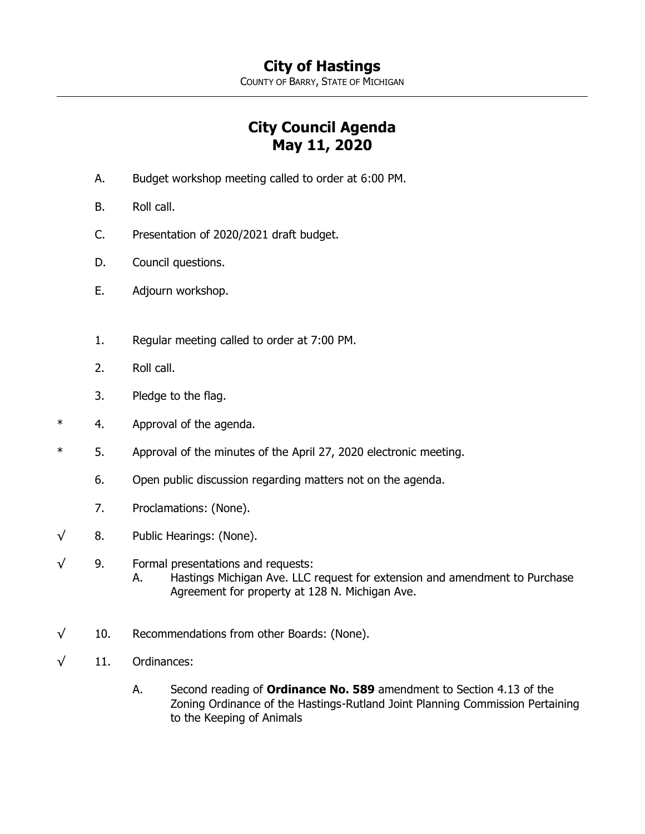COUNTY OF BARRY, STATE OF MICHIGAN

## **City Council Agenda May 11, 2020**

- A. Budget workshop meeting called to order at 6:00 PM.
- B. Roll call.
- C. Presentation of 2020/2021 draft budget.
- D. Council questions.
- E. Adjourn workshop.
- 1. Regular meeting called to order at 7:00 PM.
- 2. Roll call.
- 3. Pledge to the flag.
- \* 4. Approval of the agenda.
- \* 5. Approval of the minutes of the April 27, 2020 electronic meeting.
	- 6. Open public discussion regarding matters not on the agenda.
	- 7. Proclamations: (None).
- $\sqrt{8}$ . Public Hearings: (None).

## √ 9. Formal presentations and requests:

- A. Hastings Michigan Ave. LLC request for extension and amendment to Purchase Agreement for property at 128 N. Michigan Ave.
- $\sqrt{10}$ . Recommendations from other Boards: (None).
- $\sqrt{11}$ . Ordinances:
	- A. Second reading of **Ordinance No. 589** amendment to Section 4.13 of the Zoning Ordinance of the Hastings-Rutland Joint Planning Commission Pertaining to the Keeping of Animals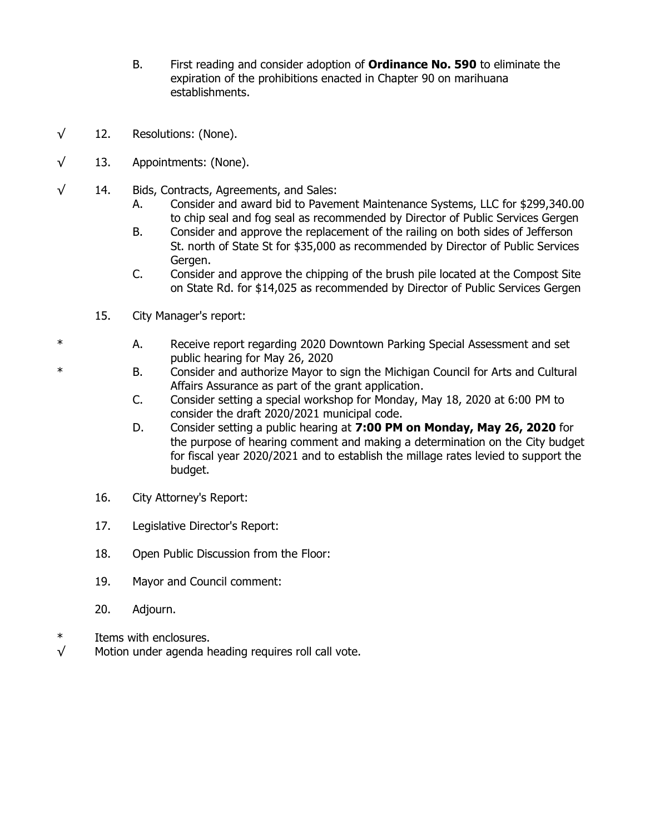- B. First reading and consider adoption of **Ordinance No. 590** to eliminate the expiration of the prohibitions enacted in Chapter 90 on marihuana establishments.
- $\sqrt{12}$ . Resolutions: (None).
- $\sqrt{13}$ . Appointments: (None).
- √ 14. Bids, Contracts, Agreements, and Sales:
	- A. Consider and award bid to Pavement Maintenance Systems, LLC for \$299,340.00 to chip seal and fog seal as recommended by Director of Public Services Gergen
	- B. Consider and approve the replacement of the railing on both sides of Jefferson St. north of State St for \$35,000 as recommended by Director of Public Services Gergen.
	- C. Consider and approve the chipping of the brush pile located at the Compost Site on State Rd. for \$14,025 as recommended by Director of Public Services Gergen
	- 15. City Manager's report:
- \* A. Receive report regarding 2020 Downtown Parking Special Assessment and set public hearing for May 26, 2020
- \* B. Consider and authorize Mayor to sign the Michigan Council for Arts and Cultural Affairs Assurance as part of the grant application.
	- C. Consider setting a special workshop for Monday, May 18, 2020 at 6:00 PM to consider the draft 2020/2021 municipal code.
	- D. Consider setting a public hearing at **7:00 PM on Monday, May 26, 2020** for the purpose of hearing comment and making a determination on the City budget for fiscal year 2020/2021 and to establish the millage rates levied to support the budget.
	- 16. City Attorney's Report:
	- 17. Legislative Director's Report:
	- 18. Open Public Discussion from the Floor:
	- 19. Mayor and Council comment:
	- 20. Adjourn.
- \* Items with enclosures.
- $\sqrt{ }$  Motion under agenda heading requires roll call vote.